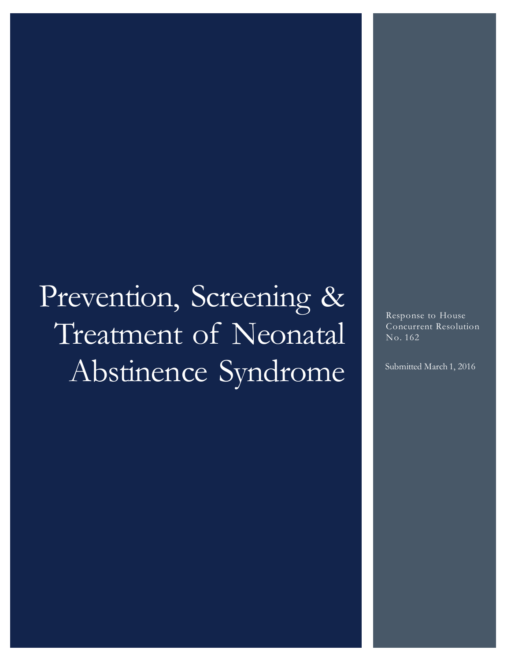# Prevention, Screening & Treatment of Neonatal Abstinence Syndrome

Response to House Concurrent Resolution No. 162

Submitted March 1, 2016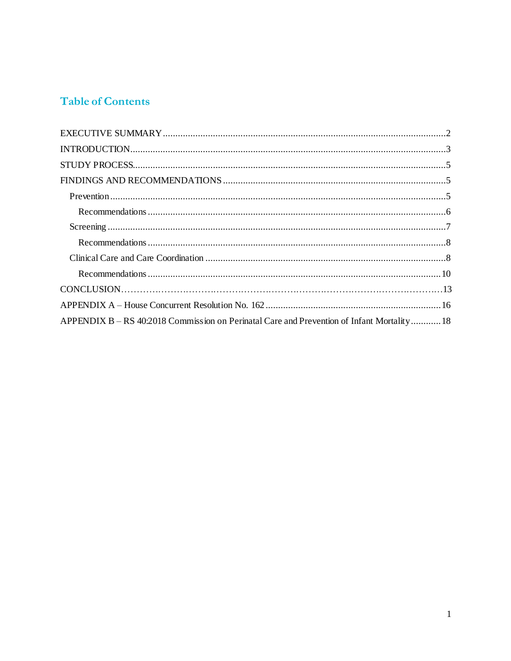# **Table of Contents**

| APPENDIX B – RS 40:2018 Commission on Perinatal Care and Prevention of Infant Mortality 18 |  |
|--------------------------------------------------------------------------------------------|--|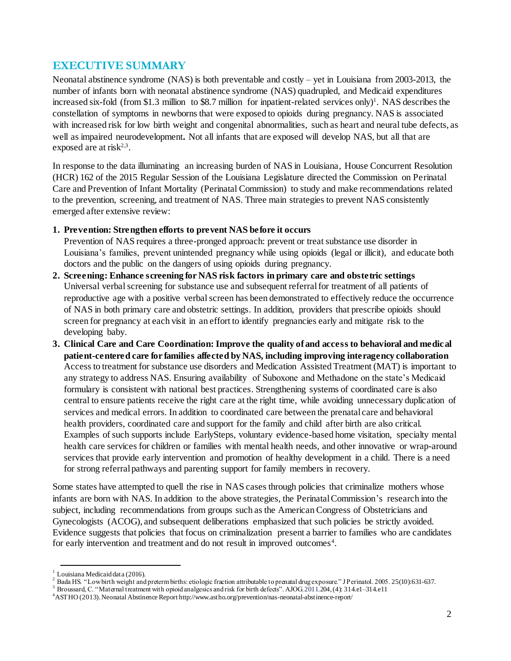## <span id="page-2-0"></span>**EXECUTIVE SUMMARY**

Neonatal abstinence syndrome (NAS) is both preventable and costly – yet in Louisiana from 2003-2013, the number of infants born with neonatal abstinence syndrome (NAS) quadrupled, and Medicaid expenditures increased six-fold (from \$1.3 million to \$8.7 million for inpatient-related services only)<sup>1</sup>. NAS describes the constellation of symptoms in newborns that were exposed to opioids during pregnancy. NAS is associated with increased risk for low birth weight and congenital abnormalities, such as heart and neural tube defects, as well as impaired neurodevelopment**.** Not all infants that are exposed will develop NAS, but all that are exposed are at risk $2,3$ .

In response to the data illuminating an increasing burden of NAS in Louisiana, House Concurrent Resolution (HCR) 162 of the 2015 Regular Session of the Louisiana Legislature directed the Commission on Perinatal Care and Prevention of Infant Mortality (Perinatal Commission) to study and make recommendations related to the prevention, screening, and treatment of NAS. Three main strategies to prevent NAS consistently emerged after extensive review:

## **1. Prevention: Strengthen efforts to prevent NAS before it occurs**

Prevention of NAS requires a three-pronged approach: prevent or treat substance use disorder in Louisiana's families, prevent unintended pregnancy while using opioids (legal or illicit), and educate both doctors and the public on the dangers of using opioids during pregnancy.

- **2. Screening: Enhance screening for NAS risk factors in primary care and obstetric settings** Universal verbal screening for substance use and subsequent referralfor treatment of all patients of reproductive age with a positive verbal screen has been demonstrated to effectively reduce the occurrence of NAS in both primary care and obstetric settings. In addition, providers that prescribe opioids should screen for pregnancy at each visit in an effort to identify pregnancies early and mitigate risk to the developing baby.
- **3. Clinical Care and Care Coordination: Improve the quality of and access to behavioral and medical patient-centered care for families affected by NAS, including improving interagency collaboration** Access to treatment for substance use disorders and Medication Assisted Treatment (MAT) is important to any strategy to address NAS. Ensuring availability of Suboxone and Methadone on the state's Medicaid formulary is consistent with national best practices. Strengthening systems of coordinated care is also central to ensure patients receive the right care at the right time, while avoiding unnecessary duplication of services and medical errors. In addition to coordinated care between the prenatal care and behavioral health providers, coordinated care and support for the family and child after birth are also critical. Examples of such supports include EarlySteps, voluntary evidence-based home visitation, specialty mental health care services for children or families with mental health needs, and other innovative or wrap-around services that provide early intervention and promotion of healthy development in a child. There is a need for strong referral pathways and parenting support for family members in recovery.

Some states have attempted to quell the rise in NAS cases through policies that criminalize mothers whose infants are born with NAS. In addition to the above strategies, the Perinatal Commission's research into the subject, including recommendations from groups such as the American Congress of Obstetricians and Gynecologists (ACOG), and subsequent deliberations emphasized that such policies be strictly avoided. Evidence suggests that policies that focus on criminalization present a barrier to families who are candidates for early intervention and treatment and do not result in improved outcomes<sup>4</sup>.

<span id="page-2-1"></span> $\ddot{\phantom{a}}$ 

 $1$  Louisiana Medicaid data (2016).

<sup>2</sup> Bada HS. "Low birth weight and preterm births: etiologic fraction attributable to prenatal drug exposure." J Perinatol. 2005. 25(10):631-637.

<sup>3</sup> Broussard, C. "Maternal treatment with opioid analgesics and risk for birth defects". AJO[G.2011](http://www.ajog.org/issue/S0002-9378%2811%29X0003-0).204, (4): 314.e1–314.e11

<sup>4</sup>ASTHO (2013). Neonatal Abstinence Report http://www.astho.org/prevention/nas-neonatal-abstinence-report/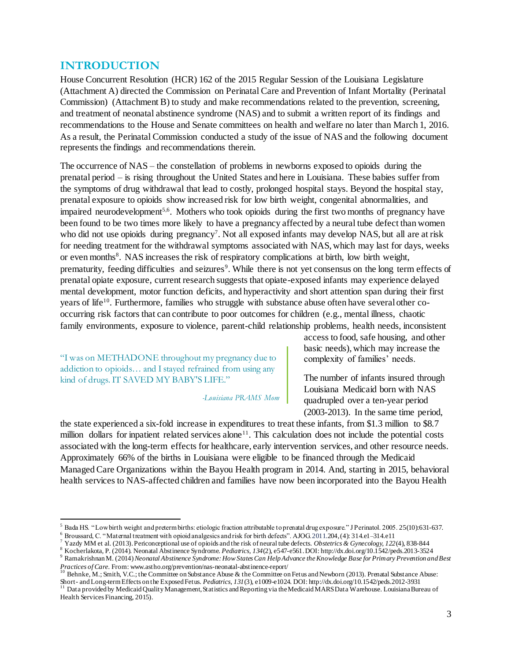## **INTRODUCTION**

House Concurrent Resolution (HCR) 162 of the 2015 Regular Session of the Louisiana Legislature (Attachment A) directed the Commission on Perinatal Care and Prevention of Infant Mortality (Perinatal Commission) (Attachment B) to study and make recommendations related to the prevention, screening, and treatment of neonatal abstinence syndrome (NAS) and to submit a written report of its findings and recommendations to the House and Senate committees on health and welfare no later than March 1, 2016. As a result, the Perinatal Commission conducted a study of the issue of NAS and the following document represents the findings and recommendations therein.

The occurrence of NAS – the constellation of problems in newborns exposed to opioids during the prenatal period – is rising throughout the United States and here in Louisiana. These babies suffer from the symptoms of drug withdrawal that lead to costly, prolonged hospital stays. Beyond the hospital stay, prenatal exposure to opioids show increased risk for low birth weight, congenital abnormalities, and impaired neurodevelopment<sup>5,6</sup>. Mothers who took opioids during the first two months of pregnancy have been found to be two times more likely to have a pregnancy affected by a neural tube defect than women who did not use opioids during pregnancy<sup>7</sup>. Not all exposed infants may develop NAS, but all are at risk for needing treatment for the withdrawal symptoms associated with NAS, which may last for days, weeks or even months<sup>8</sup>. NAS increases the risk of respiratory complications at birth, low birth weight, prematurity, feeding difficulties and seizures<sup>9</sup>. While there is not yet consensus on the long term effects of prenatal opiate exposure, current research suggests that opiate-exposed infants may experience delayed mental development, motor function deficits, and hyperactivity and short attention span during their first years of life<sup>10</sup>. Furthermore, families who struggle with substance abuse often have several other cooccurring risk factors that can contribute to poor outcomes for children (e.g., mental illness, chaotic family environments, exposure to violence, parent-child relationship problems, health needs, inconsistent

"I was on METHADONE throughout my pregnancy due to addiction to opioids… and I stayed refrained from using any kind of drugs. IT SAVED MY BABY'S LIFE."

 $\ddot{\phantom{a}}$ 

*-Louisiana PRAMS Mom*

access to food, safe housing, and other basic needs), which may increase the complexity of families' needs.

The number of infants insured through Louisiana Medicaid born with NAS quadrupled over a ten-year period (2003-2013). In the same time period,

the state experienced a six-fold increase in expenditures to treat these infants, from \$1.3 million to \$8.7 million dollars for inpatient related services alone<sup>11</sup>. This calculation does not include the potential costs associated with the long-term effects for healthcare, early intervention services, and other resource needs. Approximately 66% of the births in Louisiana were eligible to be financed through the Medicaid Managed Care Organizations within the Bayou Health program in 2014. And, starting in 2015, behavioral health services to NAS-affected children and families have now been incorporated into the Bayou Health

<sup>6</sup> Broussard, C. "Maternal treatment with opioid analgesics and risk for birth defects". AJO[G.2011](http://www.ajog.org/issue/S0002-9378%2811%29X0003-0).204, (4): 314.e1–314.e11

<sup>5</sup> Bada HS. "Low birth weight and preterm births: etiologic fraction attributable to prenatal drug exposure." J Perinatol. 2005. 25(10):631-637.

<sup>7</sup> Yazdy MM et al. (2013). Periconceptional use of opioids and the risk of neural tube defects. *Obstetrics & Gynecology, 122*(4), 838-844

<sup>8</sup> Kocherlakota, P. (2014). Neonatal Abstinence Syndrome. *Pediatrics, 134*(2), e547-e561. DO[I: http://dx.doi.org/10.1542/peds.2013-3524](http://dx.doi.org/10.1542/peds.2013-3524)

<sup>9</sup> Ramakrishnan M. (2014) *Neonatal Abstinence Syndrome: How States Can Help Advance the Knowledge Base for Primary Prevention and Best Practices of Care.* Fro[m: www.astho.org/prevention/nas-neonatal-abstinence-report/](http://www.astho.org/prevention/nas-neonatal-abstinence-report/) <sup>10</sup> Behnke, M.; Smith, V.C.; the Committee on Substance Abuse & the Committee on Fetus and Newborn (2013). Prenatal Substance Abuse:

Short- and Long-term Effects on the Exposed Fetus. *Pediatrics, 131*(3), e1009-e1024. DO[I: http://dx.doi.org/10.1542/peds.2012-3931](http://dx.doi.org/10.1542/peds.2012-3931)<br><sup>11</sup> Data provided by Medicaid Quality Management, Statistics and Reporting via the Medica

Health Services Financing, 2015).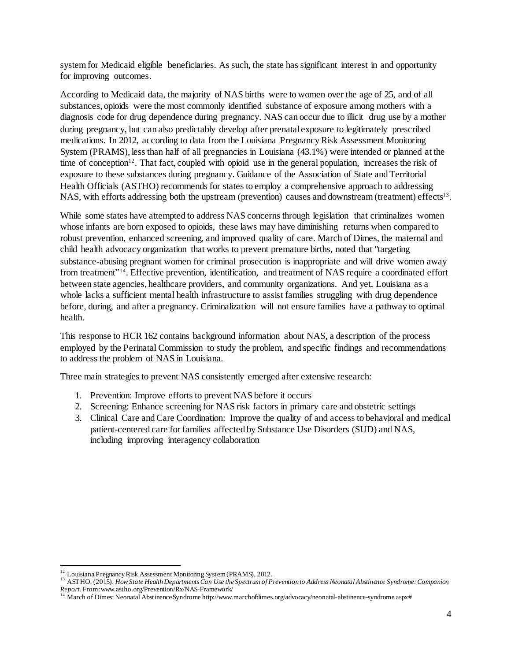system for Medicaid eligible beneficiaries. As such, the state has significant interest in and opportunity for improving outcomes.

According to Medicaid data, the majority of NAS births were to women over the age of 25, and of all substances, opioids were the most commonly identified substance of exposure among mothers with a diagnosis code for drug dependence during pregnancy. NAS can occur due to illicit drug use by a mother during pregnancy, but can also predictably develop after prenatal exposure to legitimately prescribed medications. In 2012, according to data from the Louisiana Pregnancy Risk Assessment Monitoring System (PRAMS), less than half of all pregnancies in Louisiana (43.1%) were intended or planned at the time of conception<sup>12</sup>. That fact, coupled with opioid use in the general population, increases the risk of exposure to these substances during pregnancy. Guidance of the Association of State and Territorial Health Officials (ASTHO) recommends for states to employ a comprehensive approach to addressing NAS, with efforts addressing both the upstream (prevention) causes and downstream (treatment) effects<sup>13</sup>.

While some states have attempted to address NAS concerns through legislation that criminalizes women whose infants are born exposed to opioids, these laws may have diminishing returns when compared to robust prevention, enhanced screening, and improved quality of care. March of Dimes, the maternal and child health advocacy organization that works to prevent premature births, noted that "targeting substance-abusing pregnant women for criminal prosecution is inappropriate and will drive women away from treatment"<sup>14</sup>. Effective prevention, identification, and treatment of NAS require a coordinated effort between state agencies, healthcare providers, and community organizations. And yet, Louisiana as a whole lacks a sufficient mental health infrastructure to assist families struggling with drug dependence before, during, and after a pregnancy. Criminalization will not ensure families have a pathway to optimal health.

This response to HCR 162 contains background information about NAS, a description of the process employed by the Perinatal Commission to study the problem, and specific findings and recommendations to address the problem of NAS in Louisiana.

Three main strategies to prevent NAS consistently emerged after extensive research:

- 1. Prevention: Improve efforts to prevent NAS before it occurs
- 2. Screening: Enhance screening for NAS risk factors in primary care and obstetric settings
- 3. Clinical Care and Care Coordination: Improve the quality of and access to behavioral and medical patient-centered care for families affected by Substance Use Disorders (SUD) and NAS, including improving interagency collaboration

 $\ddot{\phantom{a}}$ 

 $12$  Louisiana Pregnancy Risk Assessment Monitoring System (PRAMS), 2012.

<sup>13</sup> ASTHO. (2015). *How State Health Departments Can Use the Spectrum of Prevention to Address Neonatal Abstinence Syndrome: Companion Report.* Fro[m: www.astho.org/Prevention/Rx/NAS-Framework/](http://www.astho.org/Prevention/Rx/NAS-Framework/)

<sup>&</sup>lt;sup>14</sup> March of Dimes: Neonatal Abstinence Syndrome http://www.marchofdimes.org/advocacy/neonatal-abstinence-syndrome.aspx#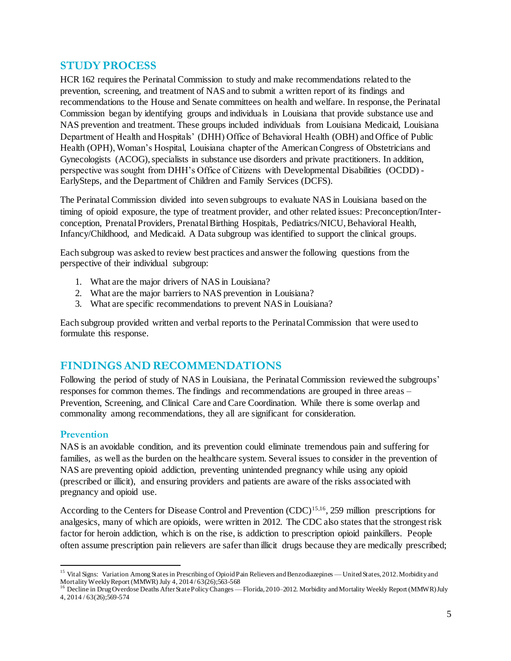# <span id="page-5-0"></span>**STUDY PROCESS**

HCR 162 requires the Perinatal Commission to study and make recommendations related to the prevention, screening, and treatment of NAS and to submit a written report of its findings and recommendations to the House and Senate committees on health and welfare. In response, the Perinatal Commission began by identifying groups and individuals in Louisiana that provide substance use and NAS prevention and treatment. These groups included individuals from Louisiana Medicaid, Louisiana Department of Health and Hospitals' (DHH) Office of Behavioral Health (OBH) and Office of Public Health (OPH), Woman's Hospital, Louisiana chapter of the American Congress of Obstetricians and Gynecologists (ACOG), specialists in substance use disorders and private practitioners. In addition, perspective was sought from DHH's Office of Citizens with Developmental Disabilities (OCDD) - EarlySteps, and the Department of Children and Family Services (DCFS).

The Perinatal Commission divided into seven subgroups to evaluate NAS in Louisiana based on the timing of opioid exposure, the type of treatment provider, and other related issues: Preconception/Interconception, Prenatal Providers, Prenatal Birthing Hospitals, Pediatrics/NICU, Behavioral Health, Infancy/Childhood, and Medicaid. A Data subgroup was identified to support the clinical groups.

Each subgroup was asked to review best practices and answer the following questions from the perspective of their individual subgroup:

- 1. What are the major drivers of NAS in Louisiana?
- 2. What are the major barriers to NAS prevention in Louisiana?
- 3. What are specific recommendations to prevent NAS in Louisiana?

Each subgroup provided written and verbal reports to the Perinatal Commission that were used to formulate this response.

# <span id="page-5-1"></span>**FINDINGS AND RECOMMENDATIONS**

Following the period of study of NAS in Louisiana, the Perinatal Commission reviewed the subgroups' responses for common themes. The findings and recommendations are grouped in three areas – Prevention, Screening, and Clinical Care and Care Coordination. While there is some overlap and commonality among recommendations, they all are significant for consideration.

## <span id="page-5-2"></span>**Prevention**

NAS is an avoidable condition, and its prevention could eliminate tremendous pain and suffering for families, as well as the burden on the healthcare system. Several issues to consider in the prevention of NAS are preventing opioid addiction, preventing unintended pregnancy while using any opioid (prescribed or illicit), and ensuring providers and patients are aware of the risks associated with pregnancy and opioid use.

According to the Centers for Disease Control and Prevention (CDC)<sup>15,16</sup>, 259 million prescriptions for analgesics, many of which are opioids, were written in 2012. The CDC also states that the strongest risk factor for heroin addiction, which is on the rise, is addiction to prescription opioid painkillers. People often assume prescription pain relievers are safer than illicit drugs because they are medically prescribed;

 $\ddot{\phantom{a}}$ <sup>15</sup> Vital Signs: Variation Among States in Prescribing of Opioid Pain Relievers and Benzodiazepines — United States, 2012. Morbidity and Mortality Weekly Report (MMWR) July 4, 2014/63(26);563-568<br><sup>16</sup> Decline in Drug Overdose Deaths After State Policy Changes — Florida, 2010–2012. Morbidity and Mortality Weekly Report (MMWR) July

<sup>4, 2014 / 63(26);569-574</sup>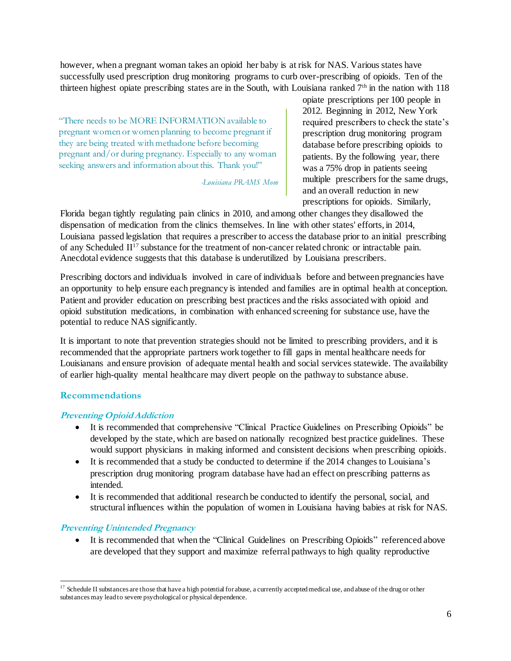however, when a pregnant woman takes an opioid her baby is at risk for NAS. Various states have successfully used prescription drug monitoring programs to curb over-prescribing of opioids. Ten of the thirteen highest opiate prescribing states are in the South, with Louisiana ranked  $7<sup>th</sup>$  in the nation with 118

"There needs to be MORE INFORMATION available to pregnant women or women planning to become pregnant if they are being treated with methadone before becoming pregnant and/or during pregnancy. Especially to any woman seeking answers and information about this. Thank you!"

*-Louisiana PRAMS Mom*

opiate prescriptions per 100 people in 2012. Beginning in 2012, New York required prescribers to check the state's prescription drug monitoring program database before prescribing opioids to patients. By the following year, there was a 75% drop in patients seeing multiple prescribers for the same drugs, and an overall reduction in new prescriptions for opioids. Similarly,

Florida began tightly regulating pain clinics in 2010, and among other changes they disallowed the dispensation of medication from the clinics themselves. In line with other states' efforts, in 2014, Louisiana passed legislation that requires a prescriber to access the database prior to an initial prescribing of any Scheduled II<sup>17</sup> substance for the treatment of non-cancer related chronic or intractable pain. Anecdotal evidence suggests that this database is underutilized by Louisiana prescribers.

Prescribing doctors and individuals involved in care of individuals before and between pregnancies have an opportunity to help ensure each pregnancy is intended and families are in optimal health at conception. Patient and provider education on prescribing best practices and the risks associated with opioid and opioid substitution medications, in combination with enhanced screening for substance use, have the potential to reduce NAS significantly.

It is important to note that prevention strategies should not be limited to prescribing providers, and it is recommended that the appropriate partners work together to fill gaps in mental healthcare needs for Louisianans and ensure provision of adequate mental health and social services statewide. The availability of earlier high-quality mental healthcare may divert people on the pathway to substance abuse.

## <span id="page-6-0"></span>**Recommendations**

#### **Preventing Opioid Addiction**

- It is recommended that comprehensive "Clinical Practice Guidelines on Prescribing Opioids" be developed by the state, which are based on nationally recognized best practice guidelines. These would support physicians in making informed and consistent decisions when prescribing opioids.
- It is recommended that a study be conducted to determine if the 2014 changes to Louisiana's prescription drug monitoring program database have had an effect on prescribing patterns as intended.
- It is recommended that additional research be conducted to identify the personal, social, and structural influences within the population of women in Louisiana having babies at risk for NAS.

#### **Preventing Unintended Pregnancy**

 It is recommended that when the "Clinical Guidelines on Prescribing Opioids" referenced above are developed that they support and maximize referral pathways to high quality reproductive

 $\overline{a}$  $17$  Schedule II substances are those that have a high potential for abuse, a currently accepted medical use, and abuse of the drug or other substances may lead to severe psychological or physical dependence.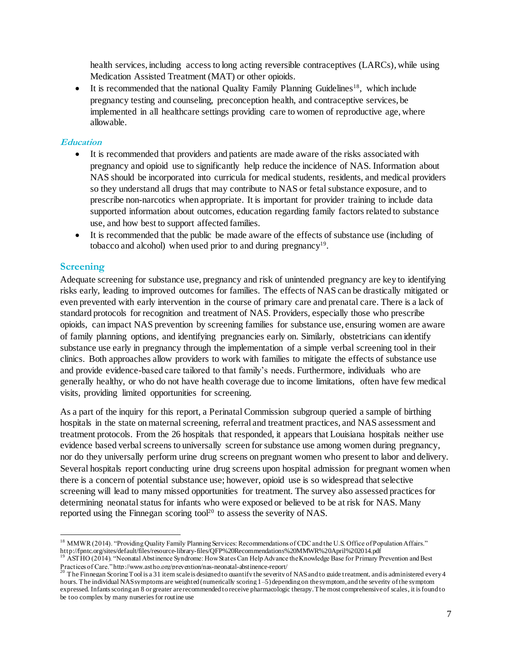health services, including access to long acting reversible contraceptives (LARCs), while using Medication Assisted Treatment (MAT) or other opioids.

It is recommended that the national Quality Family Planning Guidelines<sup>18</sup>, which include pregnancy testing and counseling, preconception health, and contraceptive services, be implemented in all healthcare settings providing care to women of reproductive age, where allowable.

## **Education**

- It is recommended that providers and patients are made aware of the risks associated with pregnancy and opioid use to significantly help reduce the incidence of NAS. Information about NAS should be incorporated into curricula for medical students, residents, and medical providers so they understand all drugs that may contribute to NAS or fetal substance exposure, and to prescribe non-narcotics when appropriate. It is important for provider training to include data supported information about outcomes, education regarding family factors related to substance use, and how best to support affected families.
- It is recommended that the public be made aware of the effects of substance use (including of tobacco and alcohol) when used prior to and during pregnancy<sup>19</sup>.

## <span id="page-7-0"></span>**Screening**

Adequate screening for substance use, pregnancy and risk of unintended pregnancy are key to identifying risks early, leading to improved outcomes for families. The effects of NAS can be drastically mitigated or even prevented with early intervention in the course of primary care and prenatal care. There is a lack of standard protocols for recognition and treatment of NAS. Providers, especially those who prescribe opioids, can impact NAS prevention by screening families for substance use, ensuring women are aware of family planning options, and identifying pregnancies early on. Similarly, obstetricians can identify substance use early in pregnancy through the implementation of a simple verbal screening tool in their clinics. Both approaches allow providers to work with families to mitigate the effects of substance use and provide evidence-based care tailored to that family's needs. Furthermore, individuals who are generally healthy, or who do not have health coverage due to income limitations, often have few medical visits, providing limited opportunities for screening.

As a part of the inquiry for this report, a Perinatal Commission subgroup queried a sample of birthing hospitals in the state on maternal screening, referral and treatment practices, and NAS assessment and treatment protocols. From the 26 hospitals that responded, it appears that Louisiana hospitals neither use evidence based verbal screens to universally screen for substance use among women during pregnancy, nor do they universally perform urine drug screens on pregnant women who present to labor and delivery. Several hospitals report conducting urine drug screens upon hospital admission for pregnant women when there is a concern of potential substance use; however, opioid use is so widespread that selective screening will lead to many missed opportunities for treatment. The survey also assessed practices for determining neonatal status for infants who were exposed or believed to be at risk for NAS. Many reported using the Finnegan scoring tool<sup>20</sup> to assess the severity of NAS.

 $\ddot{\phantom{a}}$ <sup>18</sup> MMWR (2014). "Providing Quality Family Planning Services: Recommendations of CDC and the U.S. Office of Population Affairs." http://fpntc.org/sites/default/files/resource-library-files/QFP%20Recommendations%20MMWR%20April%202014.pdf<br><sup>19</sup> AST HO (2014). "Neonatal Abstinence Syndrome: How States Can Help Advance the Knowledge Base for Primary Prev

Practices of Care."http://www.astho.org/prevention/nas-neonatal-abstinence-report/<br><sup>20</sup> The Finnegan Scoring Tool is a 31 item scale is designed to quantify the severity of NAS and to guide treatment, and is administered e

hours. The individual NAS symptoms are weighted (numerically scoring 1–5) depending on the symptom, and the severity of the symptom expressed. Infants scoring an 8 or greater are recommended to receive pharmacologic therapy. The most comprehensive of scales, it is found to be too complex by many nurseries for routine use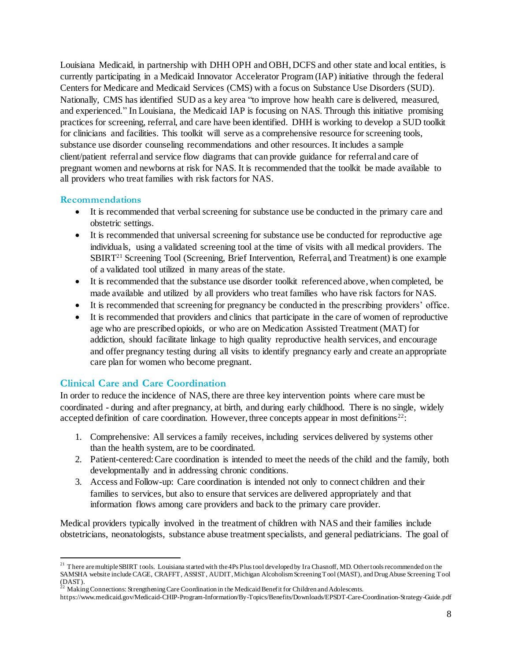Louisiana Medicaid, in partnership with DHH OPH and OBH, DCFS and other state and local entities, is currently participating in a Medicaid Innovator Accelerator Program (IAP) initiative through the federal Centers for Medicare and Medicaid Services (CMS) with a focus on Substance Use Disorders (SUD). Nationally, CMS has identified SUD as a key area "to improve how health care is delivered, measured, and experienced." In Louisiana, the Medicaid IAP is focusing on NAS. Through this initiative promising practices for screening, referral, and care have been identified. DHH is working to develop a SUD toolkit for clinicians and facilities. This toolkit will serve as a comprehensive resource for screening tools, substance use disorder counseling recommendations and other resources. It includes a sample client/patient referral and service flow diagrams that can provide guidance for referral and care of pregnant women and newborns at risk for NAS. It is recommended that the toolkit be made available to all providers who treat families with risk factors for NAS.

## <span id="page-8-0"></span>**Recommendations**

 $\ddot{\phantom{a}}$ 

- It is recommended that verbalscreening for substance use be conducted in the primary care and obstetric settings.
- It is recommended that universal screening for substance use be conducted for reproductive age individuals, using a validated screening tool at the time of visits with all medical providers. The SBIRT<sup>21</sup> Screening Tool (Screening, Brief Intervention, Referral, and Treatment) is one example of a validated tool utilized in many areas of the state.
- It is recommended that the substance use disorder toolkit referenced above, when completed, be made available and utilized by all providers who treat families who have risk factors for NAS.
- It is recommended that screening for pregnancy be conducted in the prescribing providers' office.
- It is recommended that providers and clinics that participate in the care of women of reproductive age who are prescribed opioids, or who are on Medication Assisted Treatment (MAT) for addiction, should facilitate linkage to high quality reproductive health services, and encourage and offer pregnancy testing during all visits to identify pregnancy early and create an appropriate care plan for women who become pregnant.

## <span id="page-8-1"></span>**Clinical Care and Care Coordination**

In order to reduce the incidence of NAS, there are three key intervention points where care must be coordinated - during and after pregnancy, at birth, and during early childhood. There is no single, widely accepted definition of care coordination. However, three concepts appear in most definitions<sup>22</sup>:

- 1. Comprehensive: All services a family receives, including services delivered by systems other than the health system, are to be coordinated.
- 2. Patient-centered: Care coordination is intended to meet the needs of the child and the family, both developmentally and in addressing chronic conditions.
- 3. Access and Follow-up: Care coordination is intended not only to connect children and their families to services, but also to ensure that services are delivered appropriately and that information flows among care providers and back to the primary care provider.

Medical providers typically involved in the treatment of children with NAS and their families include obstetricians, neonatologists, substance abuse treatment specialists, and general pediatricians. The goal of

 $^{21}$  There are multiple SBIRT tools. Louisiana started with the 4Ps Plus tool developed by Ira Chasnoff, MD. Other tools recommended on the SAMSHA website include CAGE, CRAFFT, ASSIST, AUDIT, Michigan Alcoholism Screening Tool (MAST), and Drug Abuse Screening Tool (DAST). <sup>22</sup> Making Connections: Strengthening Care Coordination in the Medicaid Benefit for Children and Adolescents.

https://www.medicaid.gov/Medicaid-CHIP-Program-Information/By-Topics/Benefits/Downloads/EPSDT-Care-Coordination-Strategy-Guide.pdf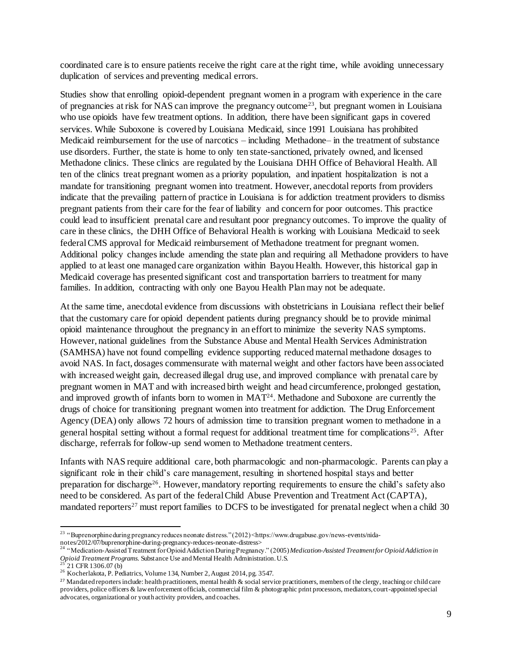coordinated care is to ensure patients receive the right care at the right time, while avoiding unnecessary duplication of services and preventing medical errors.

Studies show that enrolling opioid-dependent pregnant women in a program with experience in the care of pregnancies at risk for NAS can improve the pregnancy outcome<sup>23</sup>, but pregnant women in Louisiana who use opioids have few treatment options. In addition, there have been significant gaps in covered services. While Suboxone is covered by Louisiana Medicaid, since 1991 Louisiana has prohibited Medicaid reimbursement for the use of narcotics – including Methadone– in the treatment of substance use disorders. Further, the state is home to only ten state-sanctioned, privately owned, and licensed Methadone clinics. These clinics are regulated by the Louisiana DHH Office of Behavioral Health. All ten of the clinics treat pregnant women as a priority population, and inpatient hospitalization is not a mandate for transitioning pregnant women into treatment. However, anecdotal reports from providers indicate that the prevailing pattern of practice in Louisiana is for addiction treatment providers to dismiss pregnant patients from their care for the fear of liability and concern for poor outcomes. This practice could lead to insufficient prenatal care and resultant poor pregnancy outcomes. To improve the quality of care in these clinics, the DHH Office of Behavioral Health is working with Louisiana Medicaid to seek federal CMS approval for Medicaid reimbursement of Methadone treatment for pregnant women. Additional policy changes include amending the state plan and requiring all Methadone providers to have applied to at least one managed care organization within Bayou Health. However, this historical gap in Medicaid coverage has presented significant cost and transportation barriers to treatment for many families. In addition, contracting with only one Bayou Health Plan may not be adequate.

At the same time, anecdotal evidence from discussions with obstetricians in Louisiana reflect their belief that the customary care for opioid dependent patients during pregnancy should be to provide minimal opioid maintenance throughout the pregnancy in an effort to minimize the severity NAS symptoms. However, national guidelines from the Substance Abuse and Mental Health Services Administration (SAMHSA) have not found compelling evidence supporting reduced maternal methadone dosages to avoid NAS. In fact, dosages commensurate with maternal weight and other factors have been associated with increased weight gain, decreased illegal drug use, and improved compliance with prenatal care by pregnant women in MAT and with increased birth weight and head circumference, prolonged gestation, and improved growth of infants born to women in MAT<sup>24</sup> . Methadone and Suboxone are currently the drugs of choice for transitioning pregnant women into treatment for addiction. The Drug Enforcement Agency (DEA) only allows 72 hours of admission time to transition pregnant women to methadone in a general hospital setting without a formal request for additional treatment time for complications<sup>25</sup>. After discharge, referrals for follow-up send women to Methadone treatment centers.

Infants with NAS require additional care, both pharmacologic and non-pharmacologic. Parents can play a significant role in their child's care management, resulting in shortened hospital stays and better preparation for discharge<sup>26</sup>. However, mandatory reporting requirements to ensure the child's safety also need to be considered. As part of the federal Child Abuse Prevention and Treatment Act (CAPTA), mandated reporters<sup>27</sup> must report families to DCFS to be investigated for prenatal neglect when a child 30

 $\ddot{\phantom{a}}$ 

<sup>&</sup>lt;sup>23</sup> "Buprenorphine during pregnancy reduces neonate distress." (2012) <https://www.drugabuse.gov/news-events/nidanotes/2012/07/buprenorphine-during-pregnancy-reduces-neonate-distress><br><sup>24</sup> "Medication-Assisted Treatment for Opioid Addiction During Pregnancy." (2005) *Medication-Assisted Treatment for Opioid Addiction in* 

*Opioid Treatment Programs.* Substance Use and Mental Health Administration. U.S.

<sup>21</sup> CFR 1306.07 (b)

<sup>26</sup> Kocherlakota, P. Pediatrics, Volume 134, Number 2, August 2014, pg. 3547.

<sup>&</sup>lt;sup>27</sup> Mandated reporters include: health practitioners, mental health & social service practitioners, members of the clergy, teaching or child care providers, police officers & law enforcement officials, commercial film & photographic print processors, mediators, court-appointed special advocates, organizational or youth activity providers, and coaches.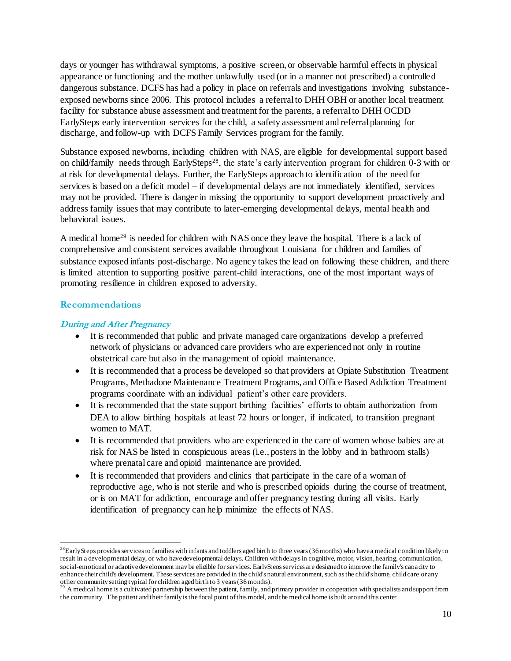days or younger has withdrawal symptoms, a positive screen, or observable harmful effects in physical appearance or functioning and the mother unlawfully used (or in a manner not prescribed) a controlled dangerous substance. DCFS has had a policy in place on referrals and investigations involving substanceexposed newborns since 2006. This protocol includes a referral to DHH OBH or another local treatment facility for substance abuse assessment and treatment for the parents, a referral to DHH OCDD EarlySteps early intervention services for the child, a safety assessment and referral planning for discharge, and follow-up with DCFS Family Services program for the family.

Substance exposed newborns, including children with NAS, are eligible for developmental support based on child/family needs through EarlySteps<sup>28</sup>, the state's early intervention program for children 0-3 with or at risk for developmental delays. Further, the EarlySteps approach to identification of the need for services is based on a deficit model – if developmental delays are not immediately identified, services may not be provided. There is danger in missing the opportunity to support development proactively and address family issues that may contribute to later-emerging developmental delays, mental health and behavioral issues.

A medical home<sup>29</sup> is needed for children with NAS once they leave the hospital. There is a lack of comprehensive and consistent services available throughout Louisiana for children and families of substance exposed infants post-discharge. No agency takes the lead on following these children, and there is limited attention to supporting positive parent-child interactions, one of the most important ways of promoting resilience in children exposed to adversity.

## <span id="page-10-0"></span>**Recommendations**

 $\ddot{\phantom{a}}$ 

## **During and After Pregnancy**

- It is recommended that public and private managed care organizations develop a preferred network of physicians or advanced care providers who are experienced not only in routine obstetrical care but also in the management of opioid maintenance.
- It is recommended that a process be developed so that providers at Opiate Substitution Treatment Programs, Methadone Maintenance Treatment Programs, and Office Based Addiction Treatment programs coordinate with an individual patient's other care providers.
- It is recommended that the state support birthing facilities' efforts to obtain authorization from DEA to allow birthing hospitals at least 72 hours or longer, if indicated, to transition pregnant women to MAT.
- It is recommended that providers who are experienced in the care of women whose babies are at risk for NAS be listed in conspicuous areas (i.e., posters in the lobby and in bathroom stalls) where prenatal care and opioid maintenance are provided.
- It is recommended that providers and clinics that participate in the care of a woman of reproductive age, who is not sterile and who is prescribed opioids during the course of treatment, or is on MAT for addiction, encourage and offer pregnancy testing during all visits. Early identification of pregnancy can help minimize the effects of NAS.

 $^{28}$ EarlySteps provides services to families with infants and toddlers aged birth to three years (36 months) who have a medical condition likely to result in a developmental delay, or who have developmental delays. Children with delays in cognitive, motor, vision, hearing, communication, social-emotional or adaptive development may be eligible for services. EarlySteps services are designed to improve the family's capacity to enhance their child's development. These services are provided in the child's natural environment, such as the child's home, child care or any other community setting typical for children aged birth to 3 years (36 months).<br><sup>29</sup> A medical home is a cultivated partnership between the patient, family, and primary provider in cooperation with specialists and support

the community. The patient and their family is the focal point of this model, and the medical home is built around this center.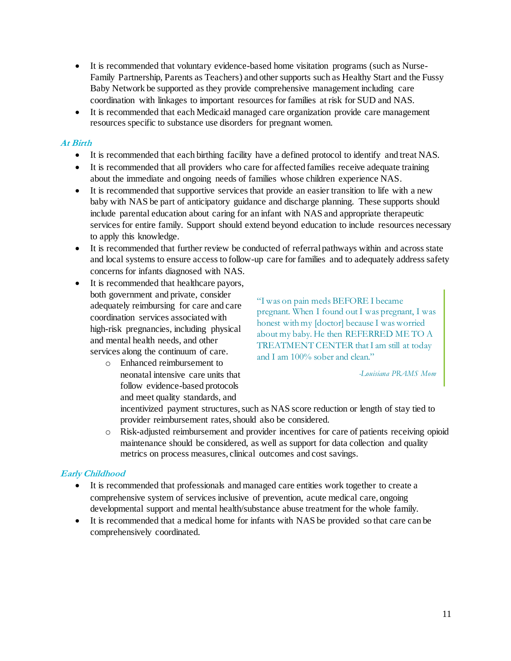- It is recommended that voluntary evidence-based home visitation programs (such as Nurse-Family Partnership, Parents as Teachers) and other supports such as Healthy Start and the Fussy Baby Network be supported as they provide comprehensive management including care coordination with linkages to important resources for families at risk for SUD and NAS.
- It is recommended that each Medicaid managed care organization provide care management resources specific to substance use disorders for pregnant women.

## **At Birth**

- It is recommended that each birthing facility have a defined protocol to identify and treat NAS.
- It is recommended that all providers who care for affected families receive adequate training about the immediate and ongoing needs of families whose children experience NAS.
- It is recommended that supportive services that provide an easier transition to life with a new baby with NAS be part of anticipatory guidance and discharge planning. These supports should include parental education about caring for an infant with NAS and appropriate therapeutic services for entire family. Support should extend beyond education to include resources necessary to apply this knowledge.
- It is recommended that further review be conducted of referral pathways within and across state and local systems to ensure access to follow-up care for families and to adequately address safety concerns for infants diagnosed with NAS.
- It is recommended that healthcare payors, both government and private, consider adequately reimbursing for care and care coordination services associated with high-risk pregnancies, including physical and mental health needs, and other services along the continuum of care.
	- o Enhanced reimbursement to neonatal intensive care units that follow evidence-based protocols and meet quality standards, and

"I was on pain meds BEFORE I became pregnant. When I found out I was pregnant, I was honest with my [doctor] because I was worried about my baby. He then REFERRED ME TO A TREATMENT CENTER that I am still at today and I am 100% sober and clean."

*-Louisiana PRAMS Mom*

incentivized payment structures, such as NAS score reduction or length of stay tied to provider reimbursement rates, should also be considered.

o Risk-adjusted reimbursement and provider incentives for care of patients receiving opioid maintenance should be considered, as well as support for data collection and quality metrics on process measures, clinical outcomes and cost savings.

## **Early Childhood**

- It is recommended that professionals and managed care entities work together to create a comprehensive system of services inclusive of prevention, acute medical care, ongoing developmental support and mental health/substance abuse treatment for the whole family.
- It is recommended that a medical home for infants with NAS be provided so that care can be comprehensively coordinated.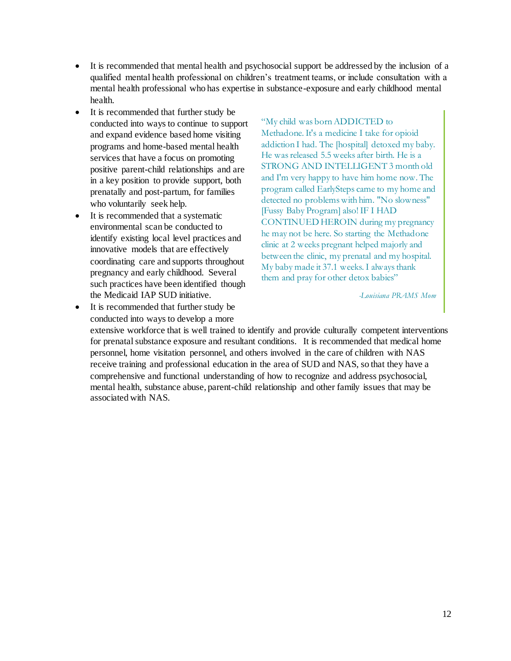- It is recommended that mental health and psychosocial support be addressed by the inclusion of a qualified mental health professional on children's treatment teams, or include consultation with a mental health professional who has expertise in substance-exposure and early childhood mental health.
- It is recommended that further study be conducted into ways to continue to support and expand evidence based home visiting programs and home-based mental health services that have a focus on promoting positive parent-child relationships and are in a key position to provide support, both prenatally and post-partum, for families who voluntarily seek help.
- It is recommended that a systematic environmental scan be conducted to identify existing local level practices and innovative models that are effectively coordinating care and supports throughout pregnancy and early childhood. Several such practices have been identified though the Medicaid IAP SUD initiative.

It is recommended that further study be

addiction I had. The [hospital] detoxed my baby. He was released 5.5 weeks after birth. He is a STRONG AND INTELLIGENT 3 month old and I'm very happy to have him home now. The program called EarlySteps came to my home and detected no problems with him. "No slowness" [Fussy Baby Program] also! IF I HAD CONTINUED HEROIN during my pregnancy he may not be here. So starting the Methadone clinic at 2 weeks pregnant helped majorly and between the clinic, my prenatal and my hospital. My baby made it 37.1 weeks. I always thank them and pray for other detox babies"

"My child was born ADDICTED to Methadone. It's a medicine I take for opioid

*-Louisiana PRAMS Mom*

conducted into ways to develop a more extensive workforce that is well trained to identify and provide culturally competent interventions for prenatal substance exposure and resultant conditions. It is recommended that medical home personnel, home visitation personnel, and others involved in the care of children with NAS receive training and professional education in the area of SUD and NAS, so that they have a comprehensive and functional understanding of how to recognize and address psychosocial, mental health, substance abuse, parent-child relationship and other family issues that may be associated with NAS.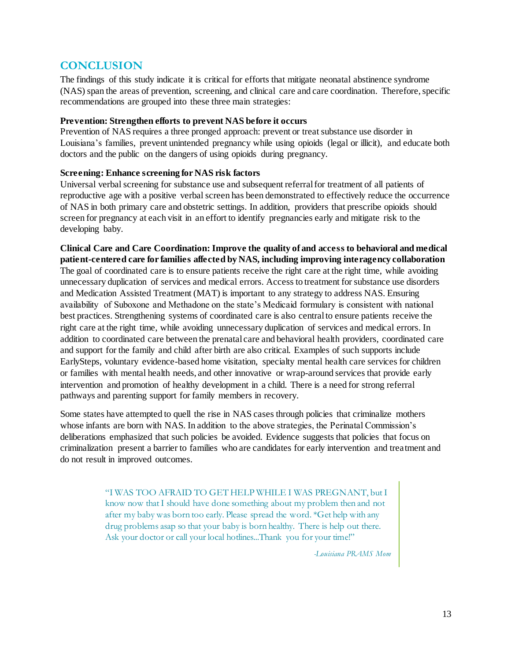# **CONCLUSION**

The findings of this study indicate it is critical for efforts that mitigate neonatal abstinence syndrome (NAS) span the areas of prevention, screening, and clinical care and care coordination. Therefore, specific recommendations are grouped into these three main strategies:

### **Prevention: Strengthen efforts to prevent NAS before it occurs**

Prevention of NAS requires a three pronged approach: prevent or treat substance use disorder in Louisiana's families, prevent unintended pregnancy while using opioids (legal or illicit), and educate both doctors and the public on the dangers of using opioids during pregnancy.

## **Screening: Enhance screening for NAS risk factors**

Universal verbal screening for substance use and subsequent referral for treatment of all patients of reproductive age with a positive verbal screen has been demonstrated to effectively reduce the occurrence of NAS in both primary care and obstetric settings. In addition, providers that prescribe opioids should screen for pregnancy at each visit in an effort to identify pregnancies early and mitigate risk to the developing baby.

**Clinical Care and Care Coordination: Improve the quality of and access to behavioral and medical patient-centered care for families affected by NAS, including improving interagency collaboration** The goal of coordinated care is to ensure patients receive the right care at the right time, while avoiding unnecessary duplication of services and medical errors. Access to treatment for substance use disorders and Medication Assisted Treatment (MAT) is important to any strategy to address NAS. Ensuring availability of Suboxone and Methadone on the state's Medicaid formulary is consistent with national best practices. Strengthening systems of coordinated care is also central to ensure patients receive the right care at the right time, while avoiding unnecessary duplication of services and medical errors. In addition to coordinated care between the prenatal care and behavioral health providers, coordinated care and support for the family and child after birth are also critical. Examples of such supports include EarlySteps, voluntary evidence-based home visitation, specialty mental health care services for children or families with mental health needs, and other innovative or wrap-around services that provide early intervention and promotion of healthy development in a child. There is a need for strong referral pathways and parenting support for family members in recovery.

Some states have attempted to quell the rise in NAS cases through policies that criminalize mothers whose infants are born with NAS. In addition to the above strategies, the Perinatal Commission's deliberations emphasized that such policies be avoided. Evidence suggests that policies that focus on criminalization present a barrier to families who are candidates for early intervention and treatment and do not result in improved outcomes.

> "I WAS TOO AFRAID TO GET HELP WHILE I WAS PREGNANT, but I know now that I should have done something about my problem then and not after my baby was born too early. Please spread the word. \*Get help with any drug problems asap so that your baby is born healthy. There is help out there. Ask your doctor or call your local hotlines...Thank you for your time!"

> > *-Louisiana PRAMS Mom*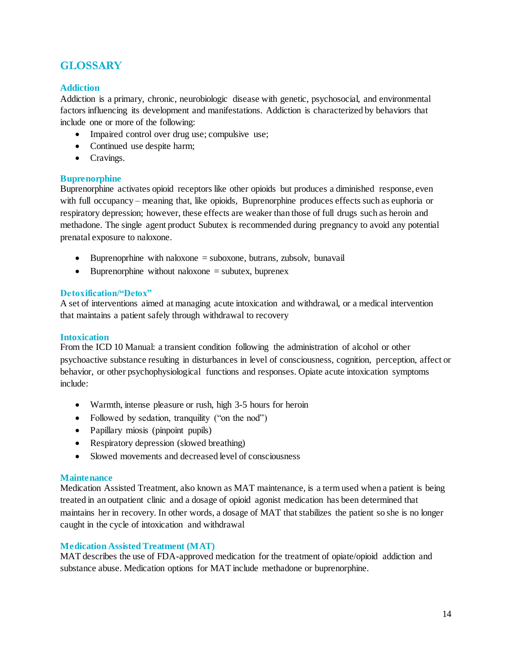# **GLOSSARY**

## **Addiction**

Addiction is a primary, chronic, neurobiologic disease with genetic, psychosocial, and environmental factors influencing its development and manifestations. Addiction is characterized by behaviors that include one or more of the following:

- Impaired control over drug use; compulsive use;
- Continued use despite harm;
- Cravings.

## **Buprenorphine**

Buprenorphine activates opioid receptors like other opioids but produces a diminished response, even with full occupancy – meaning that, like opioids, Buprenorphine produces effects such as euphoria or respiratory depression; however, these effects are weaker than those of full drugs such as heroin and methadone. The single agent product Subutex is recommended during pregnancy to avoid any potential prenatal exposure to naloxone.

- $\bullet$  Buprenoprhine with naloxone = suboxone, butrans, zubsolv, bunavail
- $\bullet$  Buprenorphine without naloxone = subutex, buprenex

## **De toxification/"Detox"**

A set of interventions aimed at managing acute intoxication and withdrawal, or a medical intervention that maintains a patient safely through withdrawal to recovery

## **Intoxication**

From the ICD 10 Manual: a transient condition following the administration of alcohol or other psychoactive substance resulting in disturbances in level of consciousness, cognition, perception, affect or behavior, or other psychophysiological functions and responses. Opiate acute intoxication symptoms include:

- Warmth, intense pleasure or rush, high 3-5 hours for heroin
- Followed by sedation, tranquility ("on the nod")
- Papillary miosis (pinpoint pupils)
- Respiratory depression (slowed breathing)
- Slowed movements and decreased level of consciousness

#### **Maintenance**

Medication Assisted Treatment, also known as MAT maintenance, is a term used when a patient is being treated in an outpatient clinic and a dosage of opioid agonist medication has been determined that maintains her in recovery. In other words, a dosage of MAT that stabilizes the patient so she is no longer caught in the cycle of intoxication and withdrawal

## **Medication Assisted Treatment (MAT)**

MAT describes the use of FDA-approved medication for the treatment of opiate/opioid addiction and substance abuse. Medication options for MAT include methadone or buprenorphine.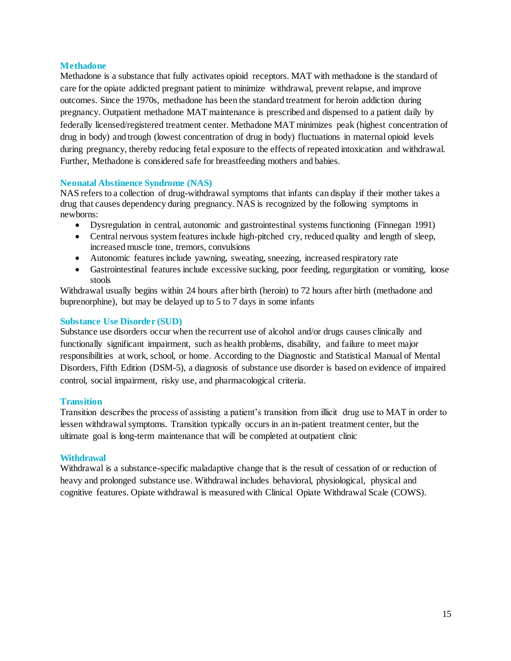## **Methadone**

Methadone is a substance that fully activates opioid receptors. MAT with methadone is the standard of care for the opiate addicted pregnant patient to minimize withdrawal, prevent relapse, and improve outcomes. Since the 1970s, methadone has been the standard treatment for heroin addiction during pregnancy. Outpatient methadone MAT maintenance is prescribed and dispensed to a patient daily by federally licensed/registered treatment center. Methadone MAT minimizes peak (highest concentration of drug in body) and trough (lowest concentration of drug in body) fluctuations in maternal opioid levels during pregnancy, thereby reducing fetal exposure to the effects of repeated intoxication and withdrawal. Further, Methadone is considered safe for breastfeeding mothers and babies.

#### **Neonatal Abstinence Syndrome (NAS)**

NAS refers to a collection of drug-withdrawal symptoms that infants can display if their mother takes a drug that causes dependency during pregnancy. NAS is recognized by the following symptoms in newborns:

- Dysregulation in central, autonomic and gastrointestinal systems functioning (Finnegan 1991)
- Central nervous system features include high-pitched cry, reduced quality and length of sleep, increased muscle tone, tremors, convulsions
- Autonomic features include yawning, sweating, sneezing, increased respiratory rate
- Gastrointestinal features include excessive sucking, poor feeding, regurgitation or vomiting, loose stools

Withdrawal usually begins within 24 hours after birth (heroin) to 72 hours after birth (methadone and buprenorphine), but may be delayed up to 5 to 7 days in some infants

## **Substance Use Disorder (SUD)**

Substance use disorders occur when the recurrent use of alcohol and/or drugs causes clinically and functionally significant impairment, such as health problems, disability, and failure to meet major responsibilities at work, school, or home. According to the Diagnostic and Statistical Manual of Mental Disorders, Fifth Edition (DSM-5), a diagnosis of substance use disorder is based on evidence of impaired control, social impairment, risky use, and pharmacological criteria.

## **Transition**

Transition describes the process of assisting a patient's transition from illicit drug use to MAT in order to lessen withdrawal symptoms. Transition typically occurs in an in-patient treatment center, but the ultimate goal is long-term maintenance that will be completed at outpatient clinic

## **Withdrawal**

Withdrawal is a substance-specific maladaptive change that is the result of cessation of or reduction of heavy and prolonged substance use. Withdrawal includes behavioral, physiological, physical and cognitive features. Opiate withdrawal is measured with Clinical Opiate Withdrawal Scale (COWS).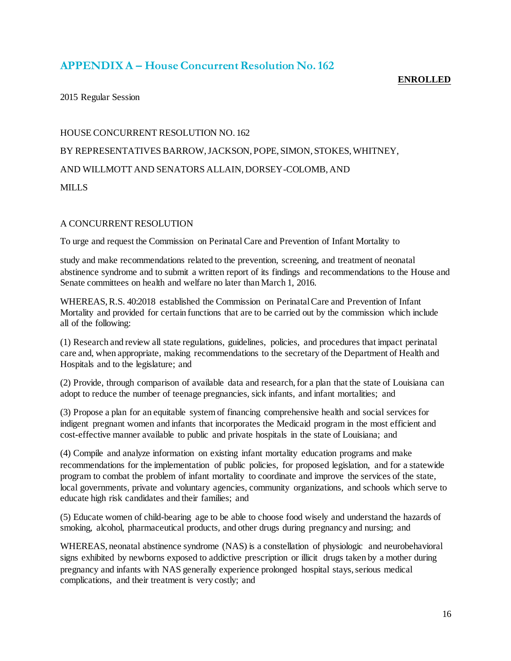# <span id="page-16-0"></span>**APPENDIX A – House Concurrent Resolution No. 162**

## **ENROLLED**

2015 Regular Session

## HOUSE CONCURRENT RESOLUTION NO. 162

### BY REPRESENTATIVES BARROW, JACKSON, POPE, SIMON, STOKES, WHITNEY,

## AND WILLMOTT AND SENATORS ALLAIN, DORSEY-COLOMB, AND

MILLS

## A CONCURRENT RESOLUTION

To urge and request the Commission on Perinatal Care and Prevention of Infant Mortality to

study and make recommendations related to the prevention, screening, and treatment of neonatal abstinence syndrome and to submit a written report of its findings and recommendations to the House and Senate committees on health and welfare no later than March 1, 2016.

WHEREAS, R.S. 40:2018 established the Commission on Perinatal Care and Prevention of Infant Mortality and provided for certain functions that are to be carried out by the commission which include all of the following:

(1) Research and review all state regulations, guidelines, policies, and procedures that impact perinatal care and, when appropriate, making recommendations to the secretary of the Department of Health and Hospitals and to the legislature; and

(2) Provide, through comparison of available data and research, for a plan that the state of Louisiana can adopt to reduce the number of teenage pregnancies, sick infants, and infant mortalities; and

(3) Propose a plan for an equitable system of financing comprehensive health and social services for indigent pregnant women and infants that incorporates the Medicaid program in the most efficient and cost-effective manner available to public and private hospitals in the state of Louisiana; and

(4) Compile and analyze information on existing infant mortality education programs and make recommendations for the implementation of public policies, for proposed legislation, and for a statewide program to combat the problem of infant mortality to coordinate and improve the services of the state, local governments, private and voluntary agencies, community organizations, and schools which serve to educate high risk candidates and their families; and

(5) Educate women of child-bearing age to be able to choose food wisely and understand the hazards of smoking, alcohol, pharmaceutical products, and other drugs during pregnancy and nursing; and

WHEREAS, neonatal abstinence syndrome (NAS) is a constellation of physiologic and neurobehavioral signs exhibited by newborns exposed to addictive prescription or illicit drugs taken by a mother during pregnancy and infants with NAS generally experience prolonged hospital stays, serious medical complications, and their treatment is very costly; and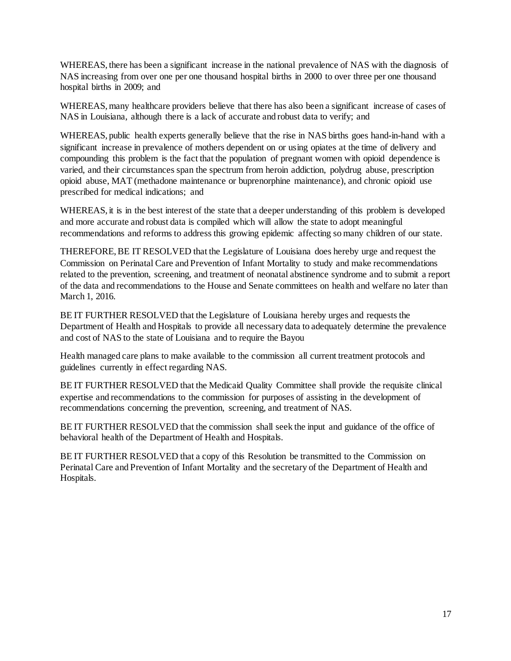WHEREAS, there has been a significant increase in the national prevalence of NAS with the diagnosis of NAS increasing from over one per one thousand hospital births in 2000 to over three per one thousand hospital births in 2009; and

WHEREAS, many healthcare providers believe that there has also been a significant increase of cases of NAS in Louisiana, although there is a lack of accurate and robust data to verify; and

WHEREAS, public health experts generally believe that the rise in NAS births goes hand-in-hand with a significant increase in prevalence of mothers dependent on or using opiates at the time of delivery and compounding this problem is the fact that the population of pregnant women with opioid dependence is varied, and their circumstances span the spectrum from heroin addiction, polydrug abuse, prescription opioid abuse, MAT (methadone maintenance or buprenorphine maintenance), and chronic opioid use prescribed for medical indications; and

WHEREAS, it is in the best interest of the state that a deeper understanding of this problem is developed and more accurate and robust data is compiled which will allow the state to adopt meaningful recommendations and reforms to address this growing epidemic affecting so many children of our state.

THEREFORE, BE IT RESOLVED that the Legislature of Louisiana does hereby urge and request the Commission on Perinatal Care and Prevention of Infant Mortality to study and make recommendations related to the prevention, screening, and treatment of neonatal abstinence syndrome and to submit a report of the data and recommendations to the House and Senate committees on health and welfare no later than March 1, 2016.

BE IT FURTHER RESOLVED that the Legislature of Louisiana hereby urges and requests the Department of Health and Hospitals to provide all necessary data to adequately determine the prevalence and cost of NAS to the state of Louisiana and to require the Bayou

Health managed care plans to make available to the commission all current treatment protocols and guidelines currently in effect regarding NAS.

BE IT FURTHER RESOLVED that the Medicaid Quality Committee shall provide the requisite clinical expertise and recommendations to the commission for purposes of assisting in the development of recommendations concerning the prevention, screening, and treatment of NAS.

BE IT FURTHER RESOLVED that the commission shall seek the input and guidance of the office of behavioral health of the Department of Health and Hospitals.

BE IT FURTHER RESOLVED that a copy of this Resolution be transmitted to the Commission on Perinatal Care and Prevention of Infant Mortality and the secretary of the Department of Health and Hospitals.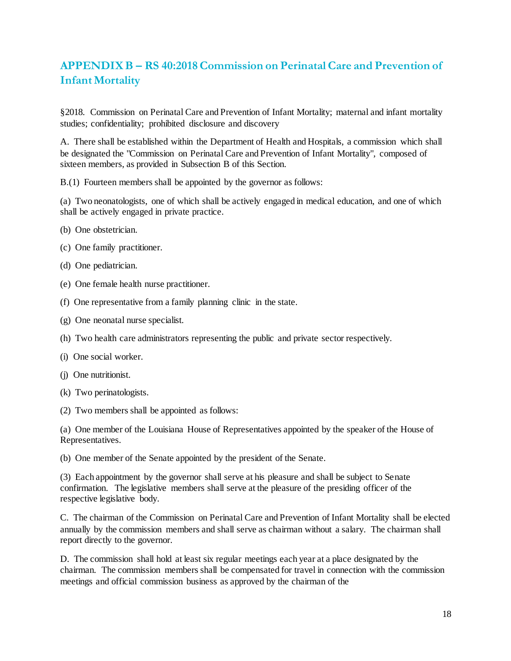# <span id="page-18-0"></span>**APPENDIX B – RS 40:2018 Commission on Perinatal Care and Prevention of Infant Mortality**

§2018. Commission on Perinatal Care and Prevention of Infant Mortality; maternal and infant mortality studies; confidentiality; prohibited disclosure and discovery

A. There shall be established within the Department of Health and Hospitals, a commission which shall be designated the "Commission on Perinatal Care and Prevention of Infant Mortality", composed of sixteen members, as provided in Subsection B of this Section.

B.(1) Fourteen members shall be appointed by the governor as follows:

(a) Two neonatologists, one of which shall be actively engaged in medical education, and one of which shall be actively engaged in private practice.

- (b) One obstetrician.
- (c) One family practitioner.
- (d) One pediatrician.
- (e) One female health nurse practitioner.
- (f) One representative from a family planning clinic in the state.
- (g) One neonatal nurse specialist.
- (h) Two health care administrators representing the public and private sector respectively.
- (i) One social worker.
- (j) One nutritionist.
- (k) Two perinatologists.
- (2) Two members shall be appointed as follows:

(a) One member of the Louisiana House of Representatives appointed by the speaker of the House of Representatives.

(b) One member of the Senate appointed by the president of the Senate.

(3) Each appointment by the governor shall serve at his pleasure and shall be subject to Senate confirmation. The legislative members shall serve at the pleasure of the presiding officer of the respective legislative body.

C. The chairman of the Commission on Perinatal Care and Prevention of Infant Mortality shall be elected annually by the commission members and shall serve as chairman without a salary. The chairman shall report directly to the governor.

D. The commission shall hold at least six regular meetings each year at a place designated by the chairman. The commission members shall be compensated for travel in connection with the commission meetings and official commission business as approved by the chairman of the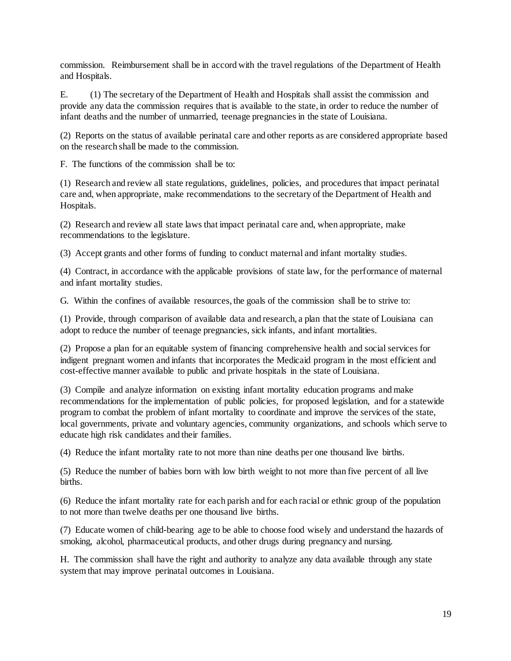commission. Reimbursement shall be in accord with the travel regulations of the Department of Health and Hospitals.

E. (1) The secretary of the Department of Health and Hospitals shall assist the commission and provide any data the commission requires that is available to the state, in order to reduce the number of infant deaths and the number of unmarried, teenage pregnancies in the state of Louisiana.

(2) Reports on the status of available perinatal care and other reports as are considered appropriate based on the research shall be made to the commission.

F. The functions of the commission shall be to:

(1) Research and review all state regulations, guidelines, policies, and procedures that impact perinatal care and, when appropriate, make recommendations to the secretary of the Department of Health and Hospitals.

(2) Research and review all state laws that impact perinatal care and, when appropriate, make recommendations to the legislature.

(3) Accept grants and other forms of funding to conduct maternal and infant mortality studies.

(4) Contract, in accordance with the applicable provisions of state law, for the performance of maternal and infant mortality studies.

G. Within the confines of available resources, the goals of the commission shall be to strive to:

(1) Provide, through comparison of available data and research, a plan that the state of Louisiana can adopt to reduce the number of teenage pregnancies, sick infants, and infant mortalities.

(2) Propose a plan for an equitable system of financing comprehensive health and social services for indigent pregnant women and infants that incorporates the Medicaid program in the most efficient and cost-effective manner available to public and private hospitals in the state of Louisiana.

(3) Compile and analyze information on existing infant mortality education programs and make recommendations for the implementation of public policies, for proposed legislation, and for a statewide program to combat the problem of infant mortality to coordinate and improve the services of the state, local governments, private and voluntary agencies, community organizations, and schools which serve to educate high risk candidates and their families.

(4) Reduce the infant mortality rate to not more than nine deaths per one thousand live births.

(5) Reduce the number of babies born with low birth weight to not more than five percent of all live births.

(6) Reduce the infant mortality rate for each parish and for each racial or ethnic group of the population to not more than twelve deaths per one thousand live births.

(7) Educate women of child-bearing age to be able to choose food wisely and understand the hazards of smoking, alcohol, pharmaceutical products, and other drugs during pregnancy and nursing.

H. The commission shall have the right and authority to analyze any data available through any state system that may improve perinatal outcomes in Louisiana.